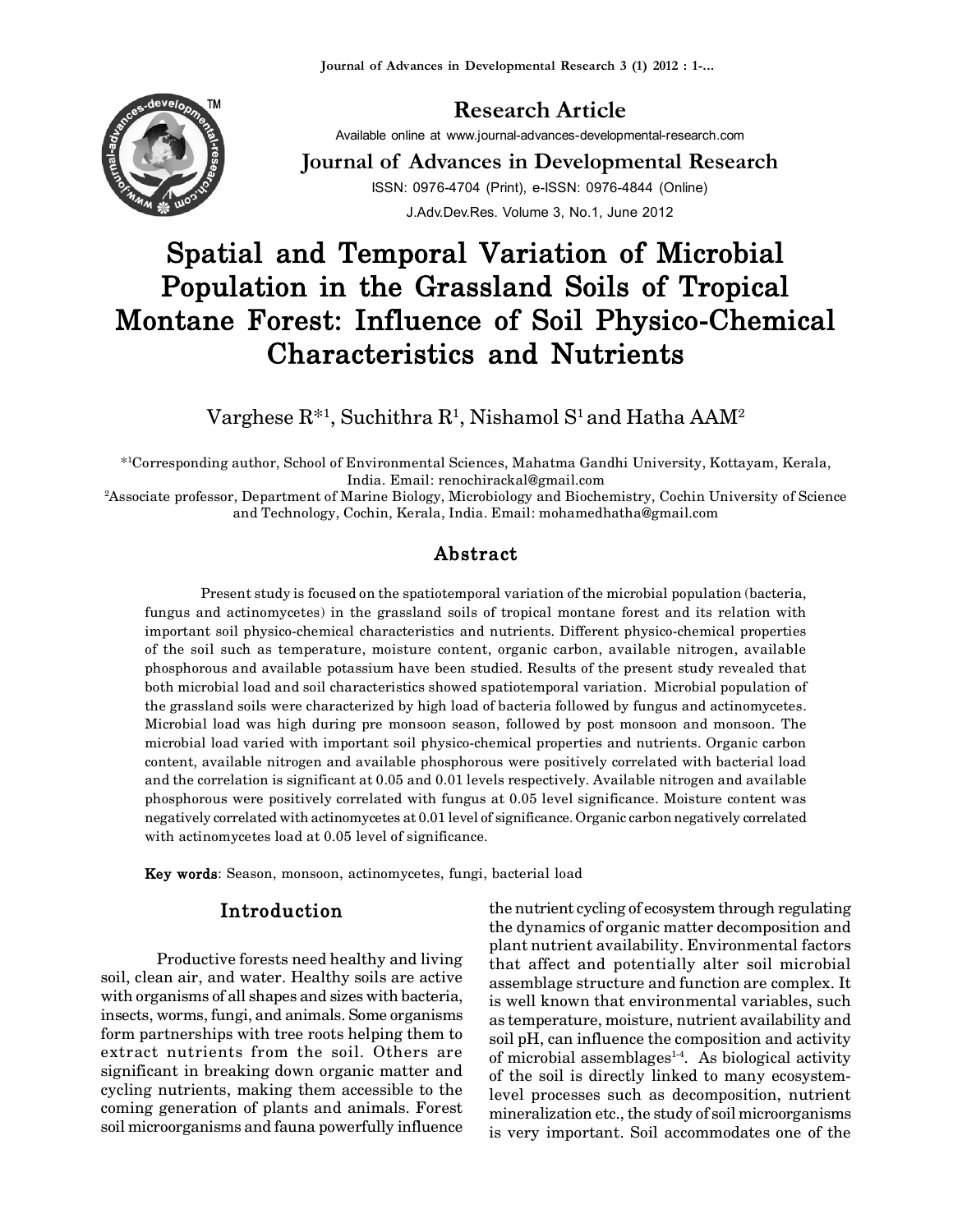

# **Research Article**

Available online at www.journal-advances-developmental-research.com

**Journal of Advances in Developmental Research** ISSN: 0976-4704 (Print), e-ISSN: 0976-4844 (Online) J.Adv.Dev.Res. Volume 3, No.1, June 2012

# **Spatial and Temporal Variation of Microbial Population in the Grassland Soils of Tropical Montane Forest: Influence of Soil Physico-Chemical Characteristics and Nutrients**

 $\rm{Varg}$ hese  $\rm{R}^{*1},$   $\rm{Suchithra}$   $\rm{R}^{1},$   $\rm{Nishamol}$   $\rm{S}^{1}$  and  $\rm{Hatha}$   $\rm{AAM^2}$ 

\* <sup>1</sup>Corresponding author, School of Environmental Sciences, Mahatma Gandhi University, Kottayam, Kerala, India. Email: renochirackal@gmail.com

<sup>2</sup>Associate professor, Department of Marine Biology, Microbiology and Biochemistry, Cochin University of Science and Technology, Cochin, Kerala, India. Email: mohamedhatha@gmail.com

# **Abstract**

Present study is focused on the spatiotemporal variation of the microbial population (bacteria, fungus and actinomycetes) in the grassland soils of tropical montane forest and its relation with important soil physico-chemical characteristics and nutrients. Different physico-chemical properties of the soil such as temperature, moisture content, organic carbon, available nitrogen, available phosphorous and available potassium have been studied. Results of the present study revealed that both microbial load and soil characteristics showed spatiotemporal variation. Microbial population of the grassland soils were characterized by high load of bacteria followed by fungus and actinomycetes. Microbial load was high during pre monsoon season, followed by post monsoon and monsoon. The microbial load varied with important soil physico-chemical properties and nutrients. Organic carbon content, available nitrogen and available phosphorous were positively correlated with bacterial load and the correlation is significant at 0.05 and 0.01 levels respectively. Available nitrogen and available phosphorous were positively correlated with fungus at 0.05 level significance. Moisture content was negatively correlated with actinomycetes at 0.01 level of significance. Organic carbon negatively correlated with actinomycetes load at 0.05 level of significance.

**Key words**: Season, monsoon, actinomycetes, fungi, bacterial load

# **Introduction**

Productive forests need healthy and living soil, clean air, and water. Healthy soils are active with organisms of all shapes and sizes with bacteria, insects, worms, fungi, and animals. Some organisms form partnerships with tree roots helping them to extract nutrients from the soil. Others are significant in breaking down organic matter and cycling nutrients, making them accessible to the coming generation of plants and animals. Forest soil microorganisms and fauna powerfully influence

the nutrient cycling of ecosystem through regulating the dynamics of organic matter decomposition and plant nutrient availability. Environmental factors that affect and potentially alter soil microbial assemblage structure and function are complex. It is well known that environmental variables, such as temperature, moisture, nutrient availability and soil pH, can influence the composition and activity of microbial assemblages $1-4$ . As biological activity of the soil is directly linked to many ecosystemlevel processes such as decomposition, nutrient mineralization etc., the study of soil microorganisms is very important. Soil accommodates one of the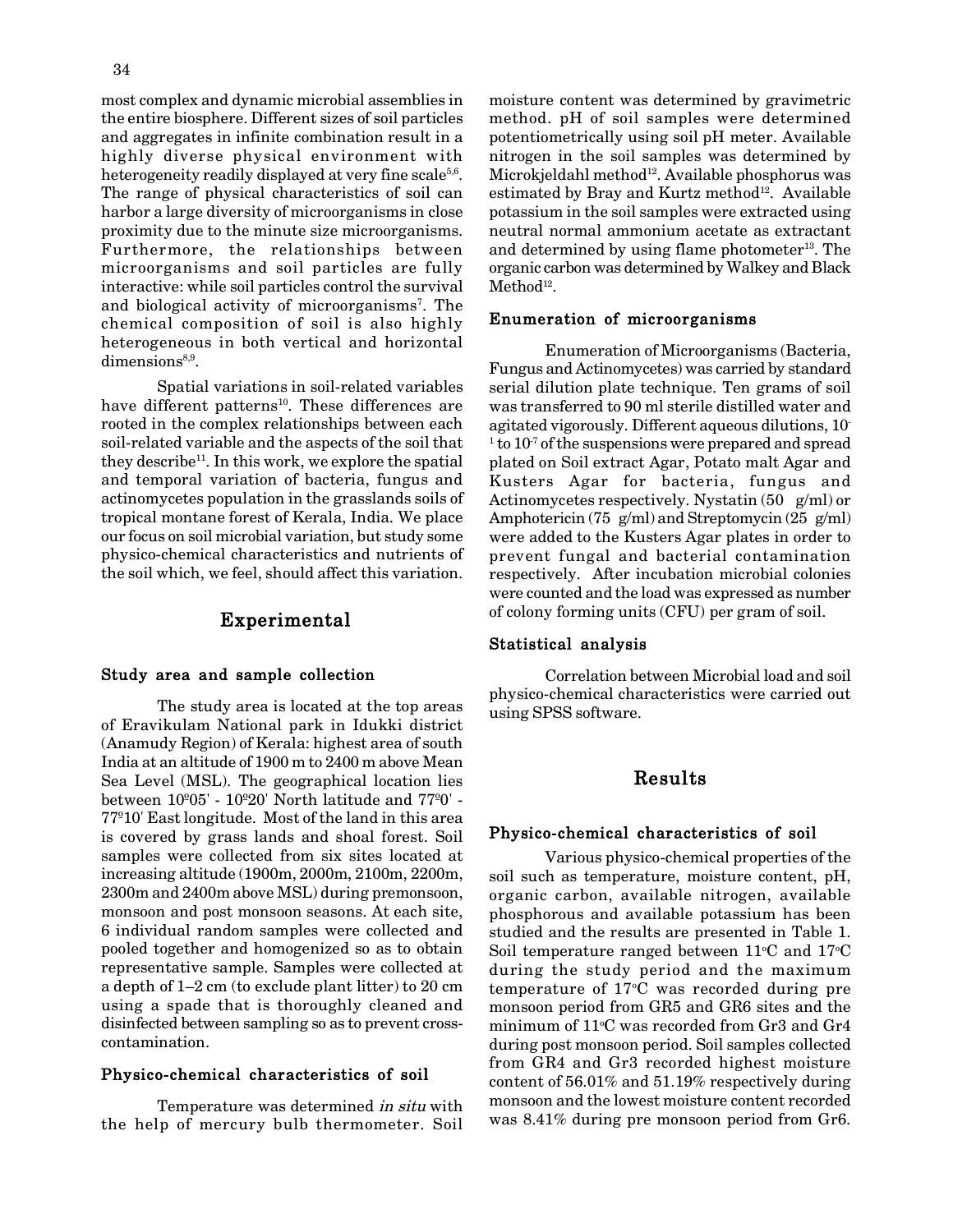most complex and dynamic microbial assemblies in the entire biosphere. Different sizes of soil particles and aggregates in infinite combination result in a highly diverse physical environment with heterogeneity readily displayed at very fine scale $^{5,6}.$ The range of physical characteristics of soil can harbor a large diversity of microorganisms in close proximity due to the minute size microorganisms. Furthermore, the relationships between microorganisms and soil particles are fully interactive: while soil particles control the survival and biological activity of microorganisms<sup>7</sup>. The chemical composition of soil is also highly heterogeneous in both vertical and horizontal dimensions<sup>8,9</sup>.

Spatial variations in soil-related variables have different patterns<sup>10</sup>. These differences are rooted in the complex relationships between each soil-related variable and the aspects of the soil that they describe<sup>11</sup>. In this work, we explore the spatial and temporal variation of bacteria, fungus and actinomycetes population in the grasslands soils of tropical montane forest of Kerala, India. We place our focus on soil microbial variation, but study some physico-chemical characteristics and nutrients of the soil which, we feel, should affect this variation.

# **Experimental**

#### **Study area and sample collection**

The study area is located at the top areas of Eravikulam National park in Idukki district (Anamudy Region) of Kerala: highest area of south India at an altitude of 1900 m to 2400 m above Mean Sea Level (MSL). The geographical location lies between 10º05' - 10º20' North latitude and 77º0' - 77º10' East longitude. Most of the land in this area is covered by grass lands and shoal forest. Soil samples were collected from six sites located at increasing altitude (1900m, 2000m, 2100m, 2200m, 2300m and 2400m above MSL) during premonsoon, monsoon and post monsoon seasons. At each site, 6 individual random samples were collected and pooled together and homogenized so as to obtain representative sample. Samples were collected at a depth of 1–2 cm (to exclude plant litter) to 20 cm using a spade that is thoroughly cleaned and disinfected between sampling so as to prevent crosscontamination.

#### **Physico-chemical characteristics of soil**

Temperature was determined *in situ* with the help of mercury bulb thermometer. Soil moisture content was determined by gravimetric method. pH of soil samples were determined potentiometrically using soil pH meter. Available nitrogen in the soil samples was determined by Microkjeldahl method<sup>12</sup>. Available phosphorus was estimated by Bray and Kurtz method<sup>12</sup>. Available potassium in the soil samples were extracted using neutral normal ammonium acetate as extractant and determined by using flame photometer<sup>13</sup>. The organic carbon was determined by Walkey and Black  $\mathbf{Method}^\mathbf{12}.$ 

#### **Enumeration of microorganisms**

Enumeration of Microorganisms (Bacteria, Fungus and Actinomycetes) was carried by standard serial dilution plate technique. Ten grams of soil was transferred to 90 ml sterile distilled water and agitated vigorously. Different aqueous dilutions, 10-  $1$  to  $10^7$  of the suspensions were prepared and spread plated on Soil extract Agar, Potato malt Agar and Kusters Agar for bacteria, fungus and Actinomycetes respectively. Nystatin (50 g/ml) or Amphotericin (75 g/ml) and Streptomycin (25 g/ml) were added to the Kusters Agar plates in order to prevent fungal and bacterial contamination respectively. After incubation microbial colonies were counted and the load was expressed as number of colony forming units (CFU) per gram of soil.

#### **Statistical analysis**

Correlation between Microbial load and soil physico-chemical characteristics were carried out using SPSS software.

# **Results**

#### **Physico-chemical characteristics of soil**

Various physico-chemical properties of the soil such as temperature, moisture content, pH, organic carbon, available nitrogen, available phosphorous and available potassium has been studied and the results are presented in Table 1. Soil temperature ranged between  $11^{\circ}$ C and  $17^{\circ}$ C during the study period and the maximum temperature of  $17^{\circ}$ C was recorded during pre monsoon period from GR5 and GR6 sites and the minimum of  $11^{\circ}$ C was recorded from Gr3 and Gr4 during post monsoon period. Soil samples collected from GR4 and Gr3 recorded highest moisture content of 56.01% and 51.19% respectively during monsoon and the lowest moisture content recorded was 8.41% during pre monsoon period from Gr6.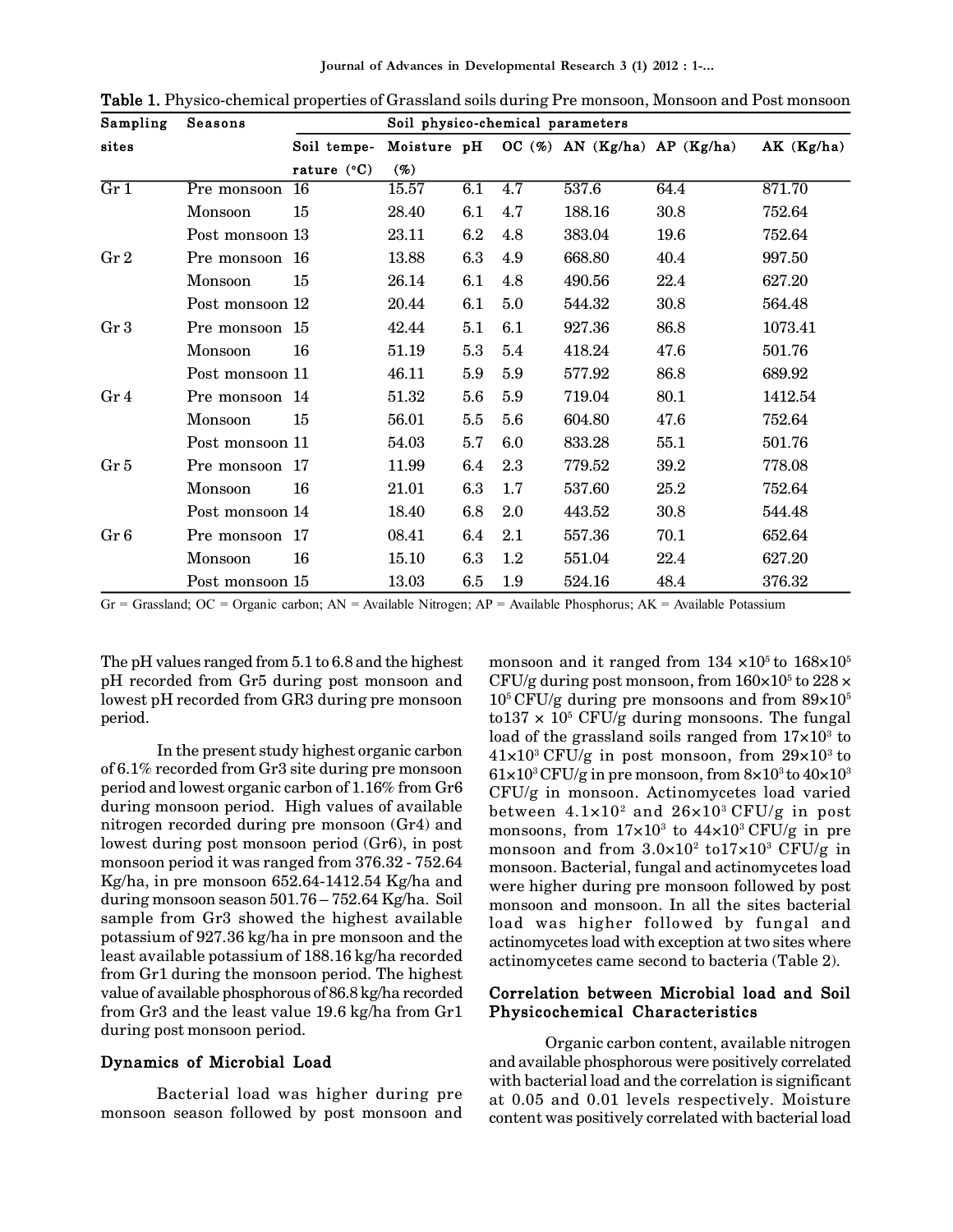**Journal of Advances in Developmental Research 3 (1) 2012 : 1-...**

| Sampling        | Seasons         | Soil physico-chemical parameters |       |     |         |                                          |      |           |  |  |
|-----------------|-----------------|----------------------------------|-------|-----|---------|------------------------------------------|------|-----------|--|--|
| sites           |                 | Soil tempe-                      |       |     |         | Moisture pH OC (%) AN (Kg/ha) AP (Kg/ha) |      | AK(Kg/ha) |  |  |
|                 |                 | rature $(^{\circ}C)$             | (%)   |     |         |                                          |      |           |  |  |
| Gr1             | Pre monsoon     | 16                               | 15.57 | 6.1 | 4.7     | 537.6                                    | 64.4 | 871.70    |  |  |
|                 | Monsoon         | 15                               | 28.40 | 6.1 | 4.7     | 188.16                                   | 30.8 | 752.64    |  |  |
|                 | Post monsoon 13 |                                  | 23.11 | 6.2 | 4.8     | 383.04                                   | 19.6 | 752.64    |  |  |
| Gr <sub>2</sub> | Pre monsoon 16  |                                  | 13.88 | 6.3 | 4.9     | 668.80                                   | 40.4 | 997.50    |  |  |
|                 | Monsoon         | 15                               | 26.14 | 6.1 | 4.8     | 490.56                                   | 22.4 | 627.20    |  |  |
|                 | Post monsoon 12 |                                  | 20.44 | 6.1 | 5.0     | 544.32                                   | 30.8 | 564.48    |  |  |
| Gr <sub>3</sub> | Pre monsoon 15  |                                  | 42.44 | 5.1 | 6.1     | 927.36                                   | 86.8 | 1073.41   |  |  |
|                 | Monsoon         | 16                               | 51.19 | 5.3 | 5.4     | 418.24                                   | 47.6 | 501.76    |  |  |
|                 | Post monsoon 11 |                                  | 46.11 | 5.9 | 5.9     | 577.92                                   | 86.8 | 689.92    |  |  |
| Gr <sub>4</sub> | Pre monsoon 14  |                                  | 51.32 | 5.6 | 5.9     | 719.04                                   | 80.1 | 1412.54   |  |  |
|                 | Monsoon         | 15                               | 56.01 | 5.5 | 5.6     | 604.80                                   | 47.6 | 752.64    |  |  |
|                 | Post monsoon 11 |                                  | 54.03 | 5.7 | 6.0     | 833.28                                   | 55.1 | 501.76    |  |  |
| Gr 5            | Pre monsoon 17  |                                  | 11.99 | 6.4 | 2.3     | 779.52                                   | 39.2 | 778.08    |  |  |
|                 | Monsoon         | 16                               | 21.01 | 6.3 | 1.7     | 537.60                                   | 25.2 | 752.64    |  |  |
|                 | Post monsoon 14 |                                  | 18.40 | 6.8 | $2.0\,$ | 443.52                                   | 30.8 | 544.48    |  |  |
| Gr 6            | Pre monsoon 17  |                                  | 08.41 | 6.4 | 2.1     | 557.36                                   | 70.1 | 652.64    |  |  |
|                 | Monsoon         | 16                               | 15.10 | 6.3 | $1.2\,$ | 551.04                                   | 22.4 | 627.20    |  |  |
|                 | Post monsoon 15 |                                  | 13.03 | 6.5 | 1.9     | 524.16                                   | 48.4 | 376.32    |  |  |

**Table 1.** Physico-chemical properties of Grassland soils during Pre monsoon, Monsoon and Post monsoon

Gr = Grassland; OC = Organic carbon; AN = Available Nitrogen; AP = Available Phosphorus; AK = Available Potassium

The pH values ranged from 5.1 to 6.8 and the highest pH recorded from Gr5 during post monsoon and lowest pH recorded from GR3 during pre monsoon period.

In the present study highest organic carbon of 6.1% recorded from Gr3 site during pre monsoon period and lowest organic carbon of 1.16% from Gr6 during monsoon period. High values of available nitrogen recorded during pre monsoon (Gr4) and lowest during post monsoon period (Gr6), in post monsoon period it was ranged from 376.32 - 752.64 Kg/ha, in pre monsoon 652.64-1412.54 Kg/ha and during monsoon season 501.76 – 752.64 Kg/ha. Soil sample from Gr3 showed the highest available potassium of 927.36 kg/ha in pre monsoon and the least available potassium of 188.16 kg/ha recorded from Gr1 during the monsoon period. The highest value of available phosphorous of 86.8 kg/ha recorded from Gr3 and the least value 19.6 kg/ha from Gr1 during post monsoon period.

# **Dynamics of Microbial Load**

Bacterial load was higher during pre monsoon season followed by post monsoon and monsoon and it ranged from  $134 \times 10^5$  to  $168 \times 10^5$ CFU/g during post monsoon, from  $160 \times 10^5$  to  $228 \times$  $10^5$  CFU/g during pre monsoons and from  $89\times10^5$ to $137 \times 10^5$  CFU/g during monsoons. The fungal load of the grassland soils ranged from  $17{\times}10^3$  to  $41\times10^{3}$  CFU/g in post monsoon, from  $29\times10^{3}$  to  $61\times10^{3}$  CFU/g in pre monsoon, from  $8\times10^{3}$  to  $40\times10^{3}$ CFU/g in monsoon. Actinomycetes load varied between  $4.1{\times}10^2$  and  $26{\times}10^3\,\mathrm{CFU/g}$  in post monsoons, from  $17{\times}10^{\scriptscriptstyle{3}}$  to  $44{\times}10^{\scriptscriptstyle{3}}\,\text{CFU/g}$  in pre monsoon and from  $3.0{\times}10^2$  to $17{\times}10^3$  CFU/g in monsoon. Bacterial, fungal and actinomycetes load were higher during pre monsoon followed by post monsoon and monsoon. In all the sites bacterial load was higher followed by fungal and actinomycetes load with exception at two sites where actinomycetes came second to bacteria (Table 2).

# **Correlation between Microbial load and Soil Physicochemical Characteristics**

Organic carbon content, available nitrogen and available phosphorous were positively correlated with bacterial load and the correlation is significant at 0.05 and 0.01 levels respectively. Moisture content was positively correlated with bacterial load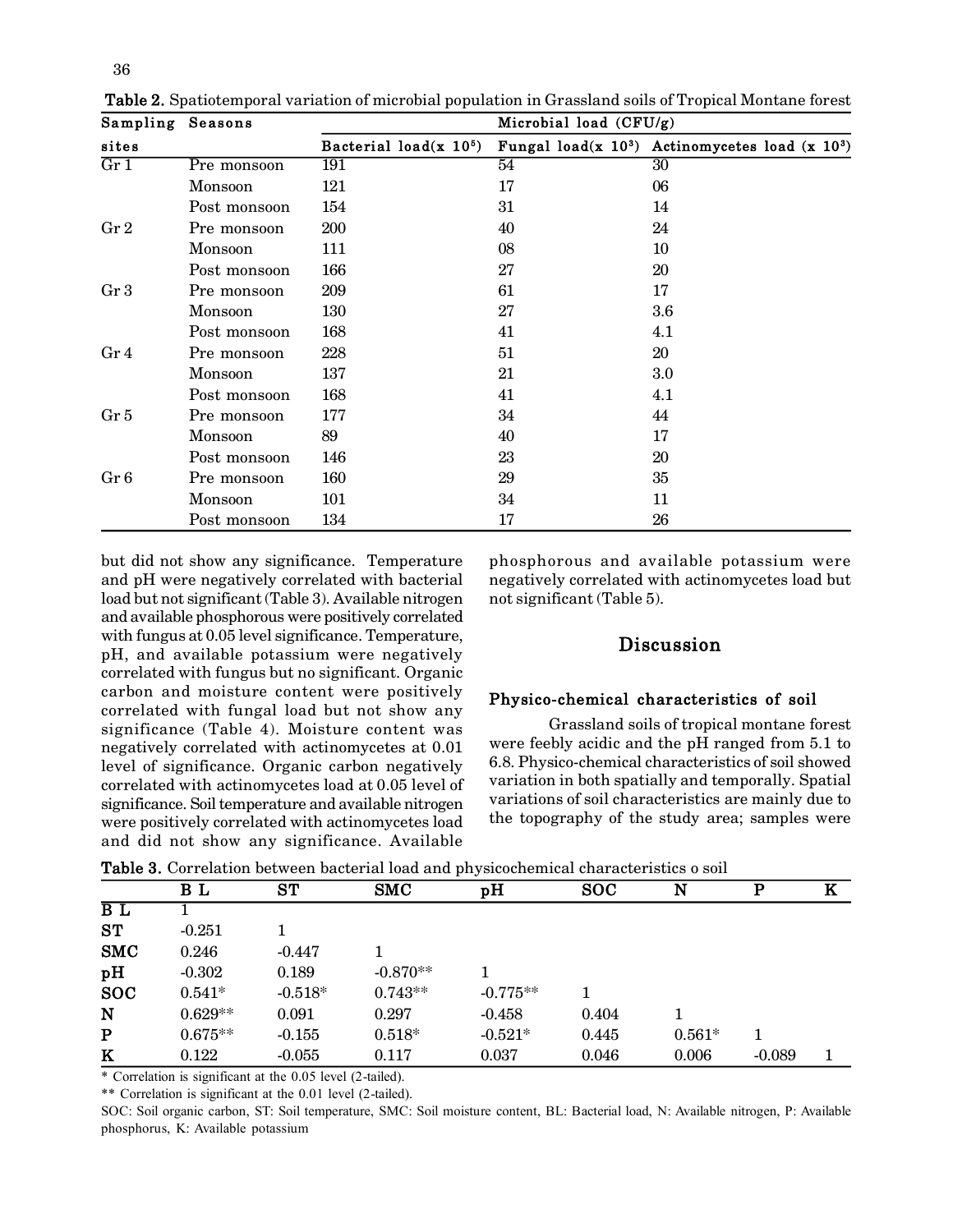| Sampling | Seasons      | Microbial load $(CFU/g)$ |    |                                                       |  |  |  |  |  |  |
|----------|--------------|--------------------------|----|-------------------------------------------------------|--|--|--|--|--|--|
| sites    |              | Bacterial load(x $105$ ) |    | Fungal load(x $10^3$ ) Actinomycetes load (x $10^3$ ) |  |  |  |  |  |  |
| Gr 1     | Pre monsoon  | 191                      | 54 | 30 <sup>°</sup>                                       |  |  |  |  |  |  |
|          | Monsoon      | 121                      | 17 | 06                                                    |  |  |  |  |  |  |
|          | Post monsoon | 154                      | 31 | 14                                                    |  |  |  |  |  |  |
| Gr 2     | Pre monsoon  | 200                      | 40 | 24                                                    |  |  |  |  |  |  |
|          | Monsoon      | 111                      | 08 | 10                                                    |  |  |  |  |  |  |
|          | Post monsoon | 166                      | 27 | 20                                                    |  |  |  |  |  |  |
| Gr 3     | Pre monsoon  | 209                      | 61 | 17                                                    |  |  |  |  |  |  |
|          | Monsoon      | 130                      | 27 | 3.6                                                   |  |  |  |  |  |  |
|          | Post monsoon | 168                      | 41 | 4.1                                                   |  |  |  |  |  |  |
| Gr 4     | Pre monsoon  | 228                      | 51 | 20                                                    |  |  |  |  |  |  |
|          | Monsoon      | 137                      | 21 | $3.0\,$                                               |  |  |  |  |  |  |
|          | Post monsoon | 168                      | 41 | 4.1                                                   |  |  |  |  |  |  |
| Gr 5     | Pre monsoon  | 177                      | 34 | 44                                                    |  |  |  |  |  |  |
|          | Monsoon      | 89                       | 40 | 17                                                    |  |  |  |  |  |  |
|          | Post monsoon | 146                      | 23 | 20                                                    |  |  |  |  |  |  |
| Gr 6     | Pre monsoon  | 160                      | 29 | 35                                                    |  |  |  |  |  |  |
|          | Monsoon      | 101                      | 34 | 11                                                    |  |  |  |  |  |  |
|          | Post monsoon | 134                      | 17 | 26                                                    |  |  |  |  |  |  |

**Table 2.** Spatiotemporal variation of microbial population in Grassland soils of Tropical Montane forest

but did not show any significance. Temperature and pH were negatively correlated with bacterial load but not significant (Table 3). Available nitrogen and available phosphorous were positively correlated with fungus at 0.05 level significance. Temperature, pH, and available potassium were negatively correlated with fungus but no significant. Organic carbon and moisture content were positively correlated with fungal load but not show any significance (Table 4). Moisture content was negatively correlated with actinomycetes at 0.01 level of significance. Organic carbon negatively correlated with actinomycetes load at 0.05 level of significance. Soil temperature and available nitrogen were positively correlated with actinomycetes load and did not show any significance. Available

phosphorous and available potassium were negatively correlated with actinomycetes load but not significant (Table 5).

# **Discussion**

# **Physico-chemical characteristics of soil**

 Grassland soils of tropical montane forest were feebly acidic and the pH ranged from 5.1 to 6.8. Physico-chemical characteristics of soil showed variation in both spatially and temporally. Spatial variations of soil characteristics are mainly due to the topography of the study area; samples were

|            | B L       | ST        | <b>SMC</b> | pH         | <b>SOC</b> | N        | р        | ĸ |
|------------|-----------|-----------|------------|------------|------------|----------|----------|---|
| BL         |           |           |            |            |            |          |          |   |
| <b>ST</b>  | $-0.251$  |           |            |            |            |          |          |   |
| <b>SMC</b> | 0.246     | $-0.447$  |            |            |            |          |          |   |
| pH         | $-0.302$  | 0.189     | $-0.870**$ |            |            |          |          |   |
| <b>SOC</b> | $0.541*$  | $-0.518*$ | $0.743**$  | $-0.775**$ |            |          |          |   |
| N          | $0.629**$ | 0.091     | 0.297      | $-0.458$   | 0.404      |          |          |   |
| P          | $0.675**$ | $-0.155$  | $0.518*$   | $-0.521*$  | 0.445      | $0.561*$ |          |   |
| K          | 0.122     | $-0.055$  | 0.117      | 0.037      | 0.046      | 0.006    | $-0.089$ |   |

**Table 3.** Correlation between bacterial load and physicochemical characteristics o soil

\* Correlation is significant at the 0.05 level (2-tailed).

\*\* Correlation is significant at the 0.01 level (2-tailed).

SOC: Soil organic carbon, ST: Soil temperature, SMC: Soil moisture content, BL: Bacterial load, N: Available nitrogen, P: Available phosphorus, K: Available potassium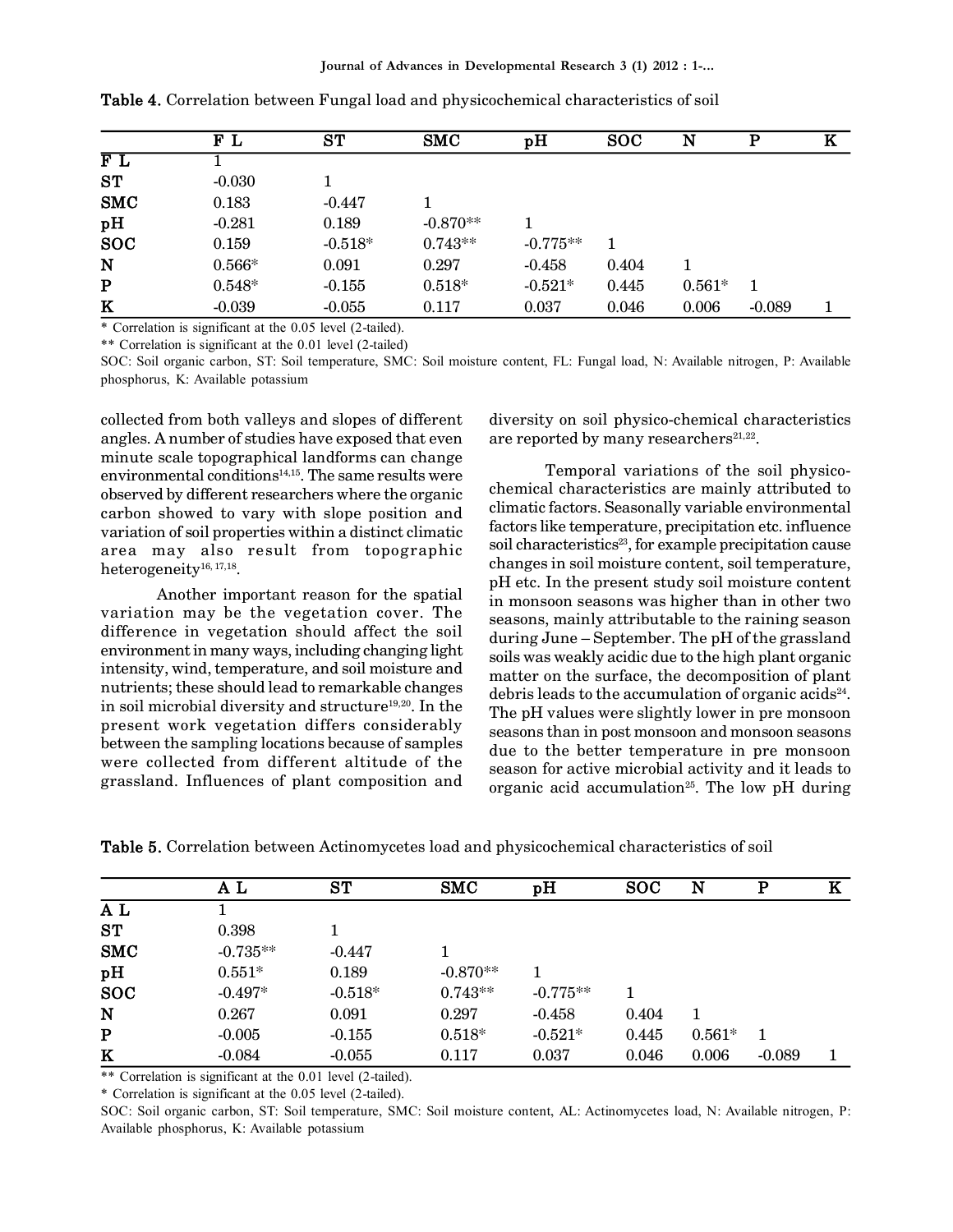| FL       | <b>ST</b> | <b>SMC</b> | pH         | <b>SOC</b> | N        | D        | K |
|----------|-----------|------------|------------|------------|----------|----------|---|
|          |           |            |            |            |          |          |   |
| $-0.030$ |           |            |            |            |          |          |   |
| 0.183    | $-0.447$  |            |            |            |          |          |   |
| $-0.281$ | 0.189     | $-0.870**$ |            |            |          |          |   |
| 0.159    | $-0.518*$ | $0.743**$  | $-0.775**$ |            |          |          |   |
| $0.566*$ | 0.091     | 0.297      | $-0.458$   | 0.404      |          |          |   |
| $0.548*$ | $-0.155$  | $0.518*$   | $-0.521*$  | 0.445      | $0.561*$ |          |   |
| $-0.039$ | $-0.055$  | 0.117      | 0.037      | 0.046      | 0.006    | $-0.089$ |   |
|          |           |            |            |            |          |          |   |

**Table 4.** Correlation between Fungal load and physicochemical characteristics of soil

\* Correlation is significant at the 0.05 level (2-tailed).

\*\* Correlation is significant at the 0.01 level (2-tailed)

SOC: Soil organic carbon, ST: Soil temperature, SMC: Soil moisture content, FL: Fungal load, N: Available nitrogen, P: Available phosphorus, K: Available potassium

collected from both valleys and slopes of different angles. A number of studies have exposed that even minute scale topographical landforms can change environmental conditions $14,15$ . The same results were observed by different researchers where the organic carbon showed to vary with slope position and variation of soil properties within a distinct climatic area may also result from topographic  $heterogeneity^{16, 17, 18}.$ 

Another important reason for the spatial variation may be the vegetation cover. The difference in vegetation should affect the soil environment in many ways, including changing light intensity, wind, temperature, and soil moisture and nutrients; these should lead to remarkable changes in soil microbial diversity and structure<sup>19,20</sup>. In the present work vegetation differs considerably between the sampling locations because of samples were collected from different altitude of the grassland. Influences of plant composition and

diversity on soil physico-chemical characteristics are reported by many researchers $^{21,22}$ .

Temporal variations of the soil physicochemical characteristics are mainly attributed to climatic factors. Seasonally variable environmental factors like temperature, precipitation etc. influence soil characteristics<sup>23</sup>, for example precipitation cause changes in soil moisture content, soil temperature, pH etc. In the present study soil moisture content in monsoon seasons was higher than in other two seasons, mainly attributable to the raining season during June – September. The pH of the grassland soils was weakly acidic due to the high plant organic matter on the surface, the decomposition of plant debris leads to the accumulation of organic acids $^{24}$ . The pH values were slightly lower in pre monsoon seasons than in post monsoon and monsoon seasons due to the better temperature in pre monsoon season for active microbial activity and it leads to organic acid accumulation<sup>25</sup>. The low pH during

|  |  |  | <b>Table 5.</b> Correlation between Actinomycetes load and physicochemical characteristics of soil |  |  |  |  |  |
|--|--|--|----------------------------------------------------------------------------------------------------|--|--|--|--|--|
|  |  |  |                                                                                                    |  |  |  |  |  |

|            | ΑL          | ST        | <b>SMC</b> | pH         | <b>SOC</b> | N        | Р        | ĸ |
|------------|-------------|-----------|------------|------------|------------|----------|----------|---|
| A L        |             |           |            |            |            |          |          |   |
| ST         | 0.398       |           |            |            |            |          |          |   |
| <b>SMC</b> | $-0.735***$ | $-0.447$  |            |            |            |          |          |   |
| pH         | $0.551*$    | 0.189     | $-0.870**$ |            |            |          |          |   |
| <b>SOC</b> | $-0.497*$   | $-0.518*$ | $0.743**$  | $-0.775**$ |            |          |          |   |
| N          | 0.267       | 0.091     | 0.297      | $-0.458$   | 0.404      | 1        |          |   |
| ${\bf P}$  | $-0.005$    | $-0.155$  | $0.518*$   | $-0.521*$  | 0.445      | $0.561*$ | 1        |   |
| K          | $-0.084$    | $-0.055$  | 0.117      | 0.037      | 0.046      | 0.006    | $-0.089$ |   |

\*\* Correlation is significant at the 0.01 level (2-tailed).

\* Correlation is significant at the 0.05 level (2-tailed).

SOC: Soil organic carbon, ST: Soil temperature, SMC: Soil moisture content, AL: Actinomycetes load, N: Available nitrogen, P: Available phosphorus, K: Available potassium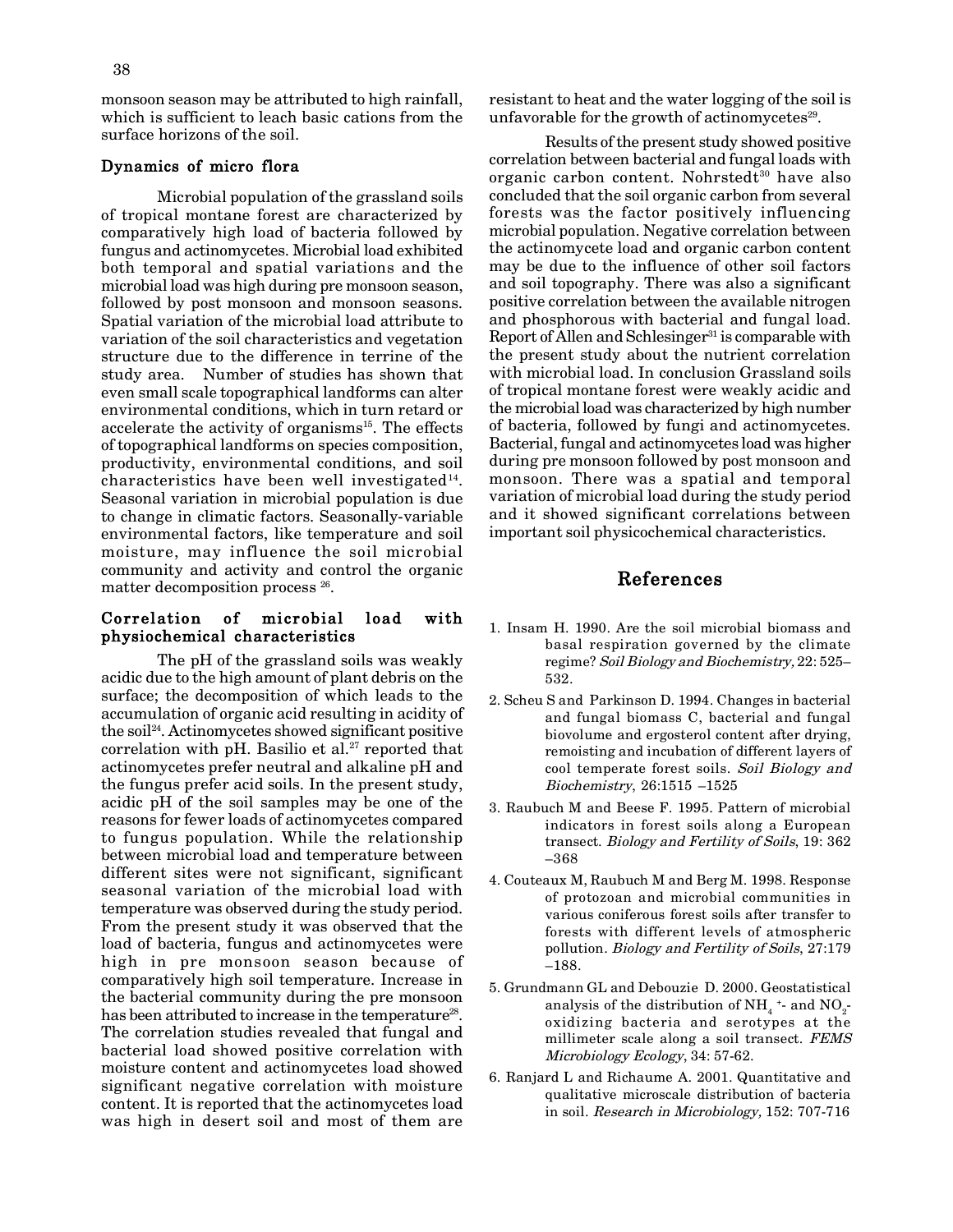monsoon season may be attributed to high rainfall, which is sufficient to leach basic cations from the surface horizons of the soil.

#### **Dynamics of micro flora**

Microbial population of the grassland soils of tropical montane forest are characterized by comparatively high load of bacteria followed by fungus and actinomycetes. Microbial load exhibited both temporal and spatial variations and the microbial load was high during pre monsoon season, followed by post monsoon and monsoon seasons. Spatial variation of the microbial load attribute to variation of the soil characteristics and vegetation structure due to the difference in terrine of the study area. Number of studies has shown that even small scale topographical landforms can alter environmental conditions, which in turn retard or accelerate the activity of organisms<sup>15</sup>. The effects of topographical landforms on species composition, productivity, environmental conditions, and soil characteristics have been well investigated $^{14}$ . Seasonal variation in microbial population is due to change in climatic factors. Seasonally-variable environmental factors, like temperature and soil moisture, may influence the soil microbial community and activity and control the organic matter decomposition process<sup>26</sup>.

### **Correlation of microbial load with physiochemical characteristics**

The pH of the grassland soils was weakly acidic due to the high amount of plant debris on the surface; the decomposition of which leads to the accumulation of organic acid resulting in acidity of the soil24. Actinomycetes showed significant positive correlation with pH. Basilio et al.<sup>27</sup> reported that actinomycetes prefer neutral and alkaline pH and the fungus prefer acid soils. In the present study, acidic pH of the soil samples may be one of the reasons for fewer loads of actinomycetes compared to fungus population. While the relationship between microbial load and temperature between different sites were not significant, significant seasonal variation of the microbial load with temperature was observed during the study period. From the present study it was observed that the load of bacteria, fungus and actinomycetes were high in pre monsoon season because of comparatively high soil temperature. Increase in the bacterial community during the pre monsoon has been attributed to increase in the temperature<sup>28</sup>. The correlation studies revealed that fungal and bacterial load showed positive correlation with moisture content and actinomycetes load showed significant negative correlation with moisture content. It is reported that the actinomycetes load was high in desert soil and most of them are

resistant to heat and the water logging of the soil is unfavorable for the growth of actinomycetes<sup>29</sup>.

Results of the present study showed positive correlation between bacterial and fungal loads with organic carbon content. Nohrstedt $30$  have also concluded that the soil organic carbon from several forests was the factor positively influencing microbial population. Negative correlation between the actinomycete load and organic carbon content may be due to the influence of other soil factors and soil topography. There was also a significant positive correlation between the available nitrogen and phosphorous with bacterial and fungal load. Report of Allen and Schlesinger<sup>31</sup> is comparable with the present study about the nutrient correlation with microbial load. In conclusion Grassland soils of tropical montane forest were weakly acidic and the microbial load was characterized by high number of bacteria, followed by fungi and actinomycetes. Bacterial, fungal and actinomycetes load was higher during pre monsoon followed by post monsoon and monsoon. There was a spatial and temporal variation of microbial load during the study period and it showed significant correlations between important soil physicochemical characteristics.

# **References**

- 1. Insam H. 1990. Are the soil microbial biomass and basal respiration governed by the climate regime? *Soil Biology and Biochemistry,* 22: 525– 532.
- 2. Scheu S and Parkinson D. 1994. Changes in bacterial and fungal biomass C, bacterial and fungal biovolume and ergosterol content after drying, remoisting and incubation of different layers of cool temperate forest soils. *Soil Biology and Biochemistry*, 26:1515 –1525
- 3. Raubuch M and Beese F. 1995. Pattern of microbial indicators in forest soils along a European transect. *Biology and Fertility of Soils*, 19: 362 –368
- 4. Couteaux M, Raubuch M and Berg M. 1998. Response of protozoan and microbial communities in various coniferous forest soils after transfer to forests with different levels of atmospheric pollution. *Biology and Fertility of Soils*, 27:179 –188.
- 5. Grundmann GL and Debouzie D. 2000. Geostatistical analysis of the distribution of NH $_4^{\,}$  + and NO $_2^{\,}$ oxidizing bacteria and serotypes at the millimeter scale along a soil transect. *FEMS Microbiology Ecology*, 34: 57-62.
- 6. Ranjard L and Richaume A. 2001. Quantitative and qualitative microscale distribution of bacteria in soil. *Research in Microbiology,* 152: 707-716